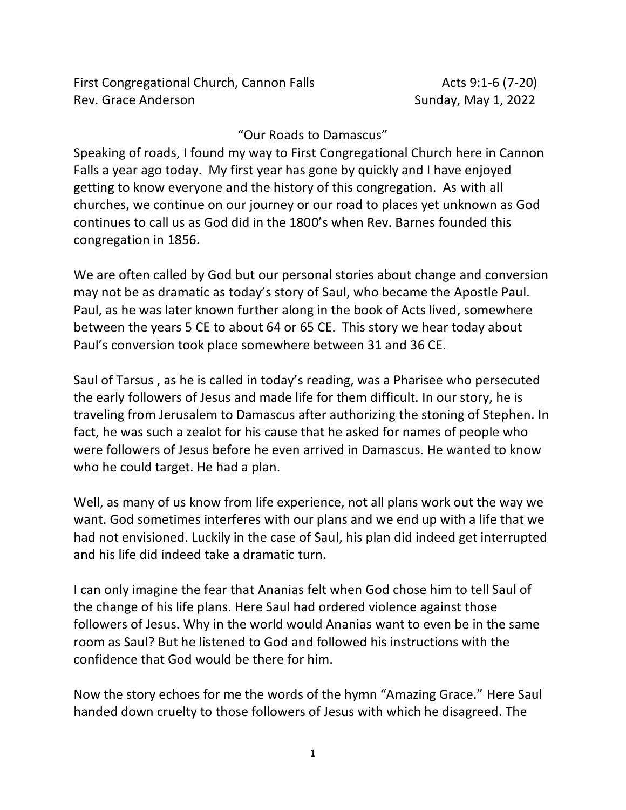## "Our Roads to Damascus"

Speaking of roads, I found my way to First Congregational Church here in Cannon Falls a year ago today. My first year has gone by quickly and I have enjoyed getting to know everyone and the history of this congregation. As with all churches, we continue on our journey or our road to places yet unknown as God continues to call us as God did in the 1800's when Rev. Barnes founded this congregation in 1856.

We are often called by God but our personal stories about change and conversion may not be as dramatic as today's story of Saul, who became the Apostle Paul. Paul, as he was later known further along in the book of Acts lived, somewhere between the years 5 CE to about 64 or 65 CE. This story we hear today about Paul's conversion took place somewhere between 31 and 36 CE.

Saul of Tarsus , as he is called in today's reading, was a Pharisee who persecuted the early followers of Jesus and made life for them difficult. In our story, he is traveling from Jerusalem to Damascus after authorizing the stoning of Stephen. In fact, he was such a zealot for his cause that he asked for names of people who were followers of Jesus before he even arrived in Damascus. He wanted to know who he could target. He had a plan.

Well, as many of us know from life experience, not all plans work out the way we want. God sometimes interferes with our plans and we end up with a life that we had not envisioned. Luckily in the case of Saul, his plan did indeed get interrupted and his life did indeed take a dramatic turn.

I can only imagine the fear that Ananias felt when God chose him to tell Saul of the change of his life plans. Here Saul had ordered violence against those followers of Jesus. Why in the world would Ananias want to even be in the same room as Saul? But he listened to God and followed his instructions with the confidence that God would be there for him.

Now the story echoes for me the words of the hymn "Amazing Grace." Here Saul handed down cruelty to those followers of Jesus with which he disagreed. The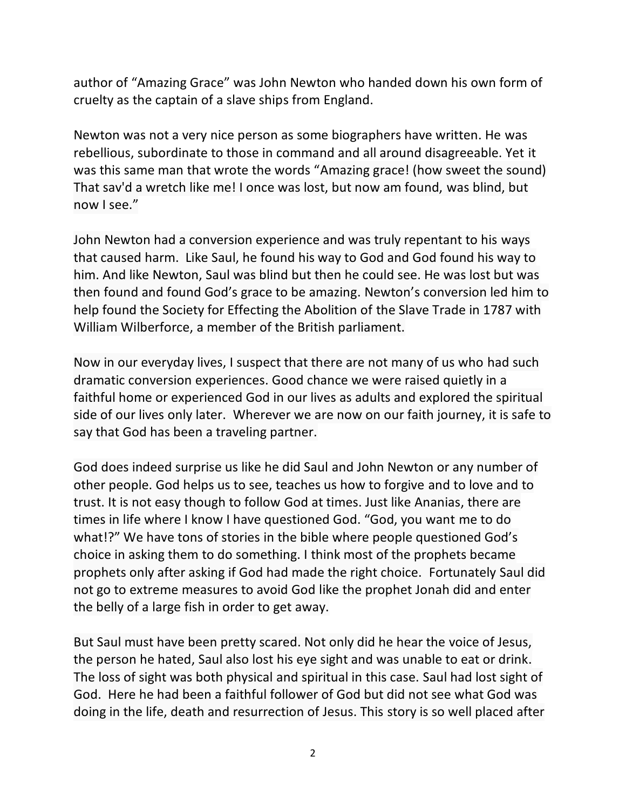author of "Amazing Grace" was John Newton who handed down his own form of cruelty as the captain of a slave ships from England.

Newton was not a very nice person as some biographers have written. He was rebellious, subordinate to those in command and all around disagreeable. Yet it was this same man that wrote the words "Amazing grace! (how sweet the sound) That sav'd a wretch like me! I once was lost, but now am found, was blind, but now I see."

John Newton had a conversion experience and was truly repentant to his ways that caused harm. Like Saul, he found his way to God and God found his way to him. And like Newton, Saul was blind but then he could see. He was lost but was then found and found God's grace to be amazing. Newton's conversion led him to help found the Society for Effecting the Abolition of the Slave Trade in 1787 with William Wilberforce, a member of the British parliament.

Now in our everyday lives, I suspect that there are not many of us who had such dramatic conversion experiences. Good chance we were raised quietly in a faithful home or experienced God in our lives as adults and explored the spiritual side of our lives only later. Wherever we are now on our faith journey, it is safe to say that God has been a traveling partner.

God does indeed surprise us like he did Saul and John Newton or any number of other people. God helps us to see, teaches us how to forgive and to love and to trust. It is not easy though to follow God at times. Just like Ananias, there are times in life where I know I have questioned God. "God, you want me to do what!?" We have tons of stories in the bible where people questioned God's choice in asking them to do something. I think most of the prophets became prophets only after asking if God had made the right choice. Fortunately Saul did not go to extreme measures to avoid God like the prophet Jonah did and enter the belly of a large fish in order to get away.

But Saul must have been pretty scared. Not only did he hear the voice of Jesus, the person he hated, Saul also lost his eye sight and was unable to eat or drink. The loss of sight was both physical and spiritual in this case. Saul had lost sight of God. Here he had been a faithful follower of God but did not see what God was doing in the life, death and resurrection of Jesus. This story is so well placed after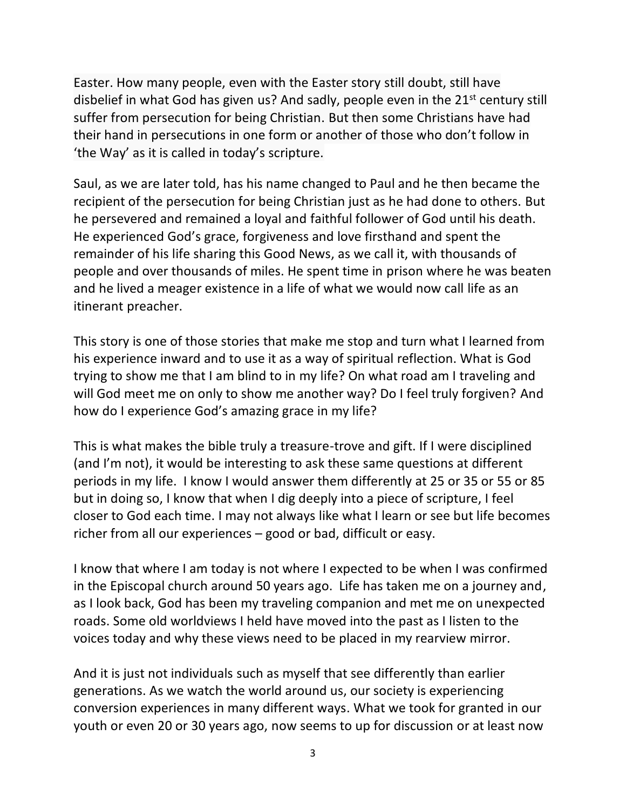Easter. How many people, even with the Easter story still doubt, still have disbelief in what God has given us? And sadly, people even in the  $21<sup>st</sup>$  century still suffer from persecution for being Christian. But then some Christians have had their hand in persecutions in one form or another of those who don't follow in 'the Way' as it is called in today's scripture.

Saul, as we are later told, has his name changed to Paul and he then became the recipient of the persecution for being Christian just as he had done to others. But he persevered and remained a loyal and faithful follower of God until his death. He experienced God's grace, forgiveness and love firsthand and spent the remainder of his life sharing this Good News, as we call it, with thousands of people and over thousands of miles. He spent time in prison where he was beaten and he lived a meager existence in a life of what we would now call life as an itinerant preacher.

This story is one of those stories that make me stop and turn what I learned from his experience inward and to use it as a way of spiritual reflection. What is God trying to show me that I am blind to in my life? On what road am I traveling and will God meet me on only to show me another way? Do I feel truly forgiven? And how do I experience God's amazing grace in my life?

This is what makes the bible truly a treasure-trove and gift. If I were disciplined (and I'm not), it would be interesting to ask these same questions at different periods in my life. I know I would answer them differently at 25 or 35 or 55 or 85 but in doing so, I know that when I dig deeply into a piece of scripture, I feel closer to God each time. I may not always like what I learn or see but life becomes richer from all our experiences – good or bad, difficult or easy.

I know that where I am today is not where I expected to be when I was confirmed in the Episcopal church around 50 years ago. Life has taken me on a journey and, as I look back, God has been my traveling companion and met me on unexpected roads. Some old worldviews I held have moved into the past as I listen to the voices today and why these views need to be placed in my rearview mirror.

And it is just not individuals such as myself that see differently than earlier generations. As we watch the world around us, our society is experiencing conversion experiences in many different ways. What we took for granted in our youth or even 20 or 30 years ago, now seems to up for discussion or at least now